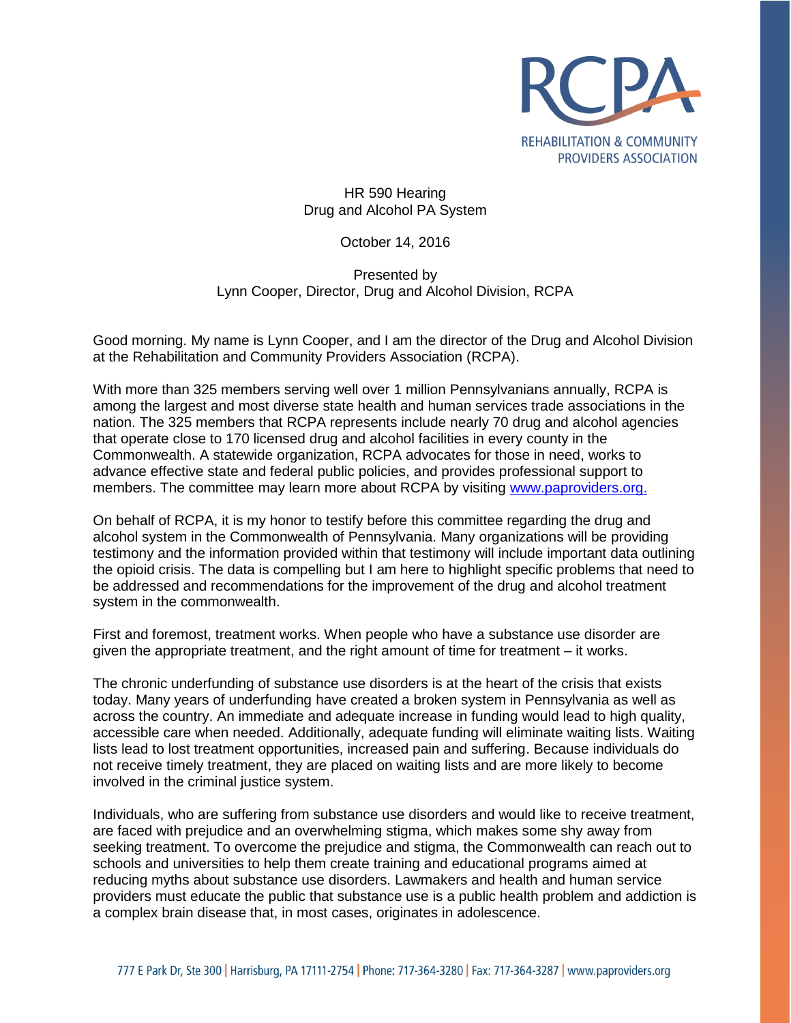

## HR 590 Hearing Drug and Alcohol PA System

## October 14, 2016

## Presented by Lynn Cooper, Director, Drug and Alcohol Division, RCPA

Good morning. My name is Lynn Cooper, and I am the director of the Drug and Alcohol Division at the Rehabilitation and Community Providers Association (RCPA).

With more than 325 members serving well over 1 million Pennsylvanians annually, RCPA is among the largest and most diverse state health and human services trade associations in the nation. The 325 members that RCPA represents include nearly 70 drug and alcohol agencies that operate close to 170 licensed drug and alcohol facilities in every county in the Commonwealth. A statewide organization, RCPA advocates for those in need, works to advance effective state and federal public policies, and provides professional support to members. The committee may learn more about RCPA by visiting [www.paproviders.org.](http://www.paproviders.org/)

On behalf of RCPA, it is my honor to testify before this committee regarding the drug and alcohol system in the Commonwealth of Pennsylvania. Many organizations will be providing testimony and the information provided within that testimony will include important data outlining the opioid crisis. The data is compelling but I am here to highlight specific problems that need to be addressed and recommendations for the improvement of the drug and alcohol treatment system in the commonwealth.

First and foremost, treatment works. When people who have a substance use disorder are given the appropriate treatment, and the right amount of time for treatment – it works.

The chronic underfunding of substance use disorders is at the heart of the crisis that exists today. Many years of underfunding have created a broken system in Pennsylvania as well as across the country. An immediate and adequate increase in funding would lead to high quality, accessible care when needed. Additionally, adequate funding will eliminate waiting lists. Waiting lists lead to lost treatment opportunities, increased pain and suffering. Because individuals do not receive timely treatment, they are placed on waiting lists and are more likely to become involved in the criminal justice system.

Individuals, who are suffering from substance use disorders and would like to receive treatment, are faced with prejudice and an overwhelming stigma, which makes some shy away from seeking treatment. To overcome the prejudice and stigma, the Commonwealth can reach out to schools and universities to help them create training and educational programs aimed at reducing myths about substance use disorders. Lawmakers and health and human service providers must educate the public that substance use is a public health problem and addiction is a complex brain disease that, in most cases, originates in adolescence.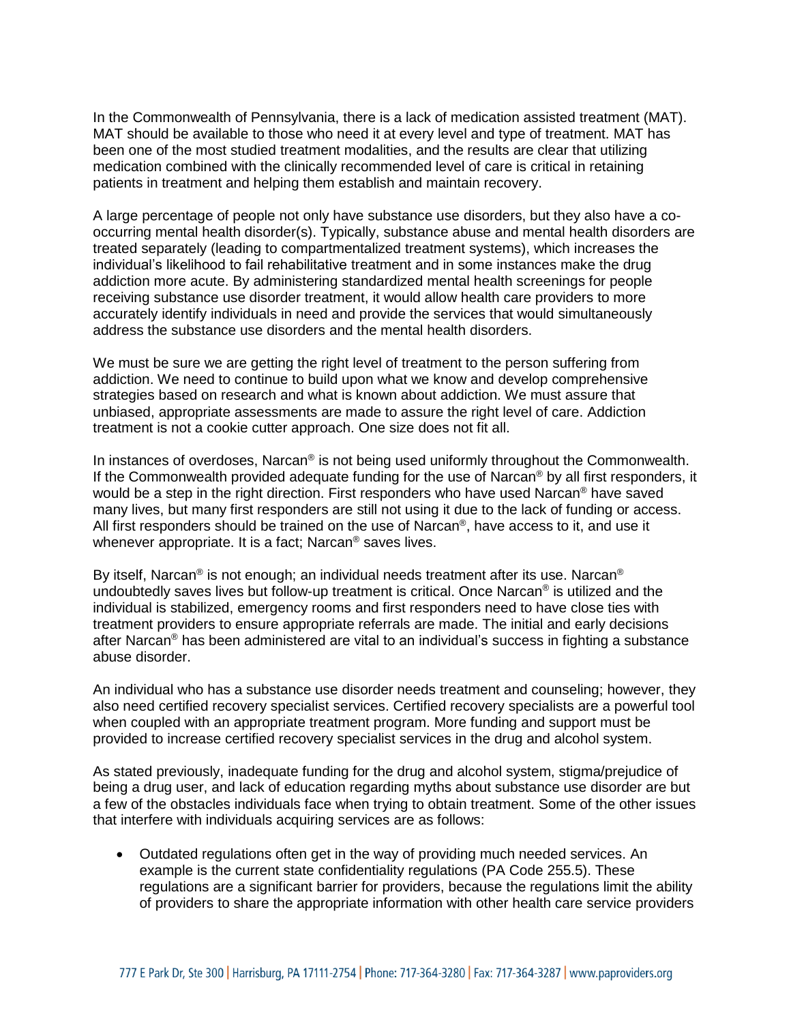In the Commonwealth of Pennsylvania, there is a lack of medication assisted treatment (MAT). MAT should be available to those who need it at every level and type of treatment. MAT has been one of the most studied treatment modalities, and the results are clear that utilizing medication combined with the clinically recommended level of care is critical in retaining patients in treatment and helping them establish and maintain recovery.

A large percentage of people not only have substance use disorders, but they also have a cooccurring mental health disorder(s). Typically, substance abuse and mental health disorders are treated separately (leading to compartmentalized treatment systems), which increases the individual's likelihood to fail rehabilitative treatment and in some instances make the drug addiction more acute. By administering standardized mental health screenings for people receiving substance use disorder treatment, it would allow health care providers to more accurately identify individuals in need and provide the services that would simultaneously address the substance use disorders and the mental health disorders.

We must be sure we are getting the right level of treatment to the person suffering from addiction. We need to continue to build upon what we know and develop comprehensive strategies based on research and what is known about addiction. We must assure that unbiased, appropriate assessments are made to assure the right level of care. Addiction treatment is not a cookie cutter approach. One size does not fit all.

In instances of overdoses, Narcan® is not being used uniformly throughout the Commonwealth. If the Commonwealth provided adequate funding for the use of Narcan® by all first responders, it would be a step in the right direction. First responders who have used Narcan® have saved many lives, but many first responders are still not using it due to the lack of funding or access. All first responders should be trained on the use of Narcan®, have access to it, and use it whenever appropriate. It is a fact: Narcan<sup>®</sup> saves lives.

By itself, Narcan® is not enough; an individual needs treatment after its use. Narcan® undoubtedly saves lives but follow-up treatment is critical. Once Narcan® is utilized and the individual is stabilized, emergency rooms and first responders need to have close ties with treatment providers to ensure appropriate referrals are made. The initial and early decisions after Narcan® has been administered are vital to an individual's success in fighting a substance abuse disorder.

An individual who has a substance use disorder needs treatment and counseling; however, they also need certified recovery specialist services. Certified recovery specialists are a powerful tool when coupled with an appropriate treatment program. More funding and support must be provided to increase certified recovery specialist services in the drug and alcohol system.

As stated previously, inadequate funding for the drug and alcohol system, stigma/prejudice of being a drug user, and lack of education regarding myths about substance use disorder are but a few of the obstacles individuals face when trying to obtain treatment. Some of the other issues that interfere with individuals acquiring services are as follows:

 Outdated regulations often get in the way of providing much needed services. An example is the current state confidentiality regulations (PA Code 255.5). These regulations are a significant barrier for providers, because the regulations limit the ability of providers to share the appropriate information with other health care service providers